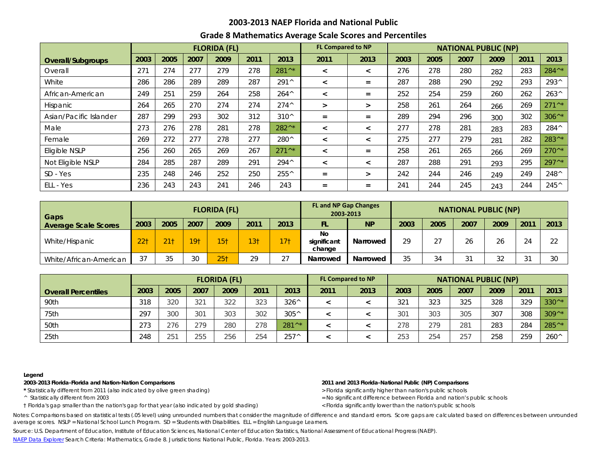## **2003-2013 NAEP Florida and National Public**

## **Grade 8 Mathematics Average Scale Scores and Percentiles**

|                        |      |      |      | <b>FLORIDA (FL)</b> |      |                  | <b>FL Compared to NP</b> |                          | <b>NATIONAL PUBLIC (NP)</b> |      |      |      |      |                  |  |
|------------------------|------|------|------|---------------------|------|------------------|--------------------------|--------------------------|-----------------------------|------|------|------|------|------------------|--|
| Overall/Subgroups      | 2003 | 2005 | 2007 | 2009                | 2011 | 2013             | 2011                     | 2013                     | 2003                        | 2005 | 2007 | 2009 | 2011 | 2013             |  |
| Overall                | 271  | 274  | 277  | 279                 | 278  | 281^*            | $\prec$                  | $\overline{\phantom{0}}$ | 276                         | 278  | 280  | 282  | 283  | 284^*            |  |
| White                  | 286  | 286  | 289  | 289                 | 287  | 291^             | $\prec$                  | $=$                      | 287                         | 288  | 290  | 292  | 293  | 293^             |  |
| African-American       | 249  | 251  | 259  | 264                 | 258  | $264^{\wedge}$   | $\prec$                  | $=$                      | 252                         | 254  | 259  | 260  | 262  | $263^{\circ}$    |  |
| <b>Hispanic</b>        | 264  | 265  | 270  | 274                 | 274  | $274^{\wedge}$   | $\geq$                   | $\geq$                   | 258                         | 261  | 264  | 266  | 269  | $271^{\wedge *}$ |  |
| Asian/Pacific Islander | 287  | 299  | 293  | 302                 | 312  | $310^{\circ}$    | $=$                      | $=$                      | 289                         | 294  | 296  | 300  | 302  | $306^{\wedge*}$  |  |
| Male                   | 273  | 276  | 278  | 281                 | 278  | 282^*            | $\prec$                  | $\overline{\phantom{0}}$ | 277                         | 278  | 281  | 283  | 283  | 284^             |  |
| Female                 | 269  | 272  | 277  | 278                 | 277  | 280^             | $\prec$                  | $\,<\,$                  | 275                         | 277  | 279  | 281  | 282  | 283^*            |  |
| Eligible NSLP          | 256  | 260  | 265  | 269                 | 267  | $271^{\wedge *}$ | $\,<\,$                  | $=$                      | 258                         | 261  | 265  | 266  | 269  | $270^{\wedge *}$ |  |
| Not Eligible NSLP      | 284  | 285  | 287  | 289                 | 291  | $294^{\wedge}$   | $\prec$                  | $\,<\,$                  | 287                         | 288  | 291  | 293  | 295  | 297^*            |  |
| SD - Yes               | 235  | 248  | 246  | 252                 | 250  | 255^             | $=$                      | $\geq$                   | 242                         | 244  | 246  | 249  | 249  | 248^             |  |
| ELL - Yes              | 236  | 243  | 243  | 241                 | 246  | 243              | $=$                      | $=$                      | 241                         | 244  | 245  | 243  | 244  | 245^             |  |

| <b>FLORIDA (FL)</b><br>Gaps |                 |                 |      |                 |                 |                    | <b>FL and NP Gap Changes</b><br>2003-2013 | <b>NATIONAL PUBLIC (NP)</b> |      |      |         |        |               |        |  |
|-----------------------------|-----------------|-----------------|------|-----------------|-----------------|--------------------|-------------------------------------------|-----------------------------|------|------|---------|--------|---------------|--------|--|
| <b>Average Scale Scores</b> | 2003            | 2005            | 2007 | 2009            | 2011            | 2013               | FL.                                       | <b>NP</b>                   | 2003 | 2005 | 2007    | 2009   | $201^{\circ}$ | 2013   |  |
| White/Hispanic              | 22 <sub>1</sub> | 21 <sub>1</sub> | 791  | 15 <sub>†</sub> | 13 <sub>†</sub> | 17 <sub>1</sub>    | No<br>significant<br>change               | Narrowed                    | 29   | 27   | 26      | 26     | 24            | $\cap$ |  |
| White/African-American      | 37              | 35              | 30   | 25 <sub>1</sub> | 29              | $\cap$<br>$\angle$ | Narrowed                                  | Narrowed                    | 35   | 34   | 21<br>ັ | $\cap$ |               | 30     |  |

|                            | <b>FLORIDA (FL)</b> |      |      |      |      |                  |      | <b>FL Compared to NP</b> | <b>NATIONAL PUBLIC (NP)</b> |      |      |      |      |                  |  |
|----------------------------|---------------------|------|------|------|------|------------------|------|--------------------------|-----------------------------|------|------|------|------|------------------|--|
| <b>Overall Percentiles</b> | 2003                | 2005 | 2007 | 2009 | 2011 | 2013             | 2011 | 2013                     | 2003                        | 2005 | 2007 | 2009 | 2011 | 2013             |  |
| 90th                       | 318                 | 320  | 321  | 322  | 323  | $326^{\wedge}$   |      |                          | 321                         | 323  | 325  | 328  | 329  | $330^{\wedge*}$  |  |
| 75th                       | 297                 | 300  | 301  | 303  | 302  | $305^{\wedge}$   |      |                          | 301                         | 303  | 305  | 307  | 308  | $309^{\wedge*}$  |  |
| 50th                       | 273                 | 276  | 279  | 280  | 278  | $281^{\wedge *}$ |      |                          | 278                         | 279  | 281  | 283  | 284  | $285^{\wedge *}$ |  |
| 25th                       | 248                 | 251  | 255  | 256  | 254  | $257^{\wedge}$   |      |                          | 253                         | 254  | 257  | 258  | 259  | $260^{\circ}$    |  |

### **Legend**

**2003-2013 Florida-Florida and Nation-Nation Comparisons 2011 and 2013 Florida-National Public (NP) Comparisons**

\* Statistically different from 2011 (also indicated by olive green shading) **by the statistically statistically different from 2011 (also indicated by olive green shading) <b>by the statistically statistically different from** 

† Florida's gap smaller than the nation's gap for that year (also indicated by gold shading) < Florida significantly lower than the nation's public schools

^ Statistically different from 2003 = No significant difference between Florida and nation's public schools

Notes: Comparisons based on statistical tests (.05 level) using unrounded numbers that consider the magnitude of difference and standard errors. Score gaps are calculated based on differences between unrounded average scores. NSLP = National School Lunch Program. SD = Students with Disabilities. ELL = English Language Learners.

Source: U.S. Department of Education, Institute of Education Sciences, National Center of Education Statistics, National Assessment of Educational Progress (NAEP).

[NAEP Data Explorer](http://nces.ed.gov/nationsreportcard/naepdata/) Search Criteria: Mathematics, Grade 8. Jurisdictions: National Public, Florida. Years: 2003-2013.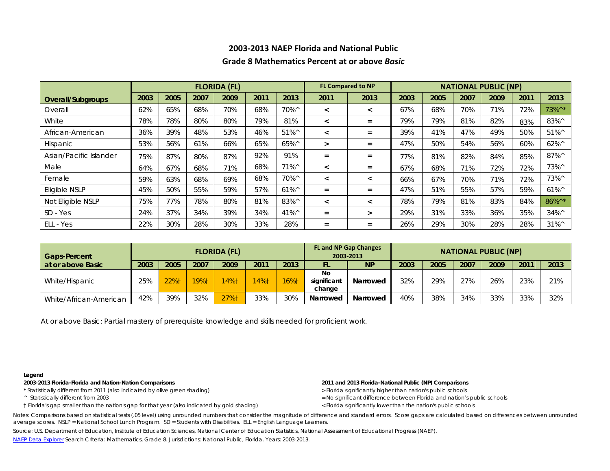# **2003-2013 NAEP Florida and National Public Grade 8 Mathematics Percent at or above** *Basic*

|                        |      |      |      | <b>FLORIDA (FL)</b> |      |                | <b>FL Compared to NP</b> |                          | <b>NATIONAL PUBLIC (NP)</b> |      |      |      |      |                 |  |
|------------------------|------|------|------|---------------------|------|----------------|--------------------------|--------------------------|-----------------------------|------|------|------|------|-----------------|--|
| Overall/Subgroups      | 2003 | 2005 | 2007 | 2009                | 2011 | 2013           | 2011                     | 2013                     | 2003                        | 2005 | 2007 | 2009 | 2011 | 2013            |  |
| Overall                | 62%  | 65%  | 68%  | 70%                 | 68%  | 70%^           | $\prec$                  | $\overline{\phantom{a}}$ | 67%                         | 68%  | 70%  | 71%  | 72%  | 73%^*           |  |
| White                  | 78%  | 78%  | 80%  | 80%                 | 79%  | 81%            | $\prec$                  | $=$                      | 79%                         | 79%  | 81%  | 82%  | 83%  | 83%^            |  |
| African-American       | 36%  | 39%  | 48%  | 53%                 | 46%  | $51\%^{\circ}$ | $\prec$                  | $=$                      | 39%                         | 41%  | 47%  | 49%  | 50%  | $51\%$          |  |
| <b>Hispanic</b>        | 53%  | 56%  | 61%  | 66%                 | 65%  | 65%^           | $\geq$                   | $=$                      | 47%                         | 50%  | 54%  | 56%  | 60%  | $62\%^{\circ}$  |  |
| Asian/Pacific Islander | 75%  | 87%  | 80%  | 87%                 | 92%  | 91%            | $=$                      | $=$                      | 77%                         | 81%  | 82%  | 84%  | 85%  | $87\%^{\circ}$  |  |
| Male                   | 64%  | 67%  | 68%  | 71%                 | 68%  | $71\%^{\circ}$ | $\prec$                  | $=$                      | 67%                         | 68%  | 71%  | 72%  | 72%  | 73%^            |  |
| Female                 | 59%  | 63%  | 68%  | 69%                 | 68%  | 70%^           | $\,<\,$                  | $\,<\,$                  | 66%                         | 67%  | 70%  | 71%  | 72%  | 73%^            |  |
| Eligible NSLP          | 45%  | 50%  | 55%  | 59%                 | 57%  | $61\%^{\circ}$ | $=$                      | $=$                      | 47%                         | 51%  | 55%  | 57%  | 59%  | $61\%^{\circ}$  |  |
| Not Eligible NSLP      | 75%  | 77%  | 78%  | 80%                 | 81%  | 83%^           | $\prec$                  | $\overline{\phantom{a}}$ | 78%                         | 79%  | 81%  | 83%  | 84%  | 86%^*           |  |
| SD - Yes               | 24%  | 37%  | 34%  | 39%                 | 34%  | 41%^           | $\equiv$                 | $\geq$                   | 29%                         | 31%  | 33%  | 36%  | 35%  | 34%^            |  |
| ELL - Yes              | 22%  | 30%  | 28%  | 30%                 | 33%  | 28%            | $=$                      | $=$                      | 26%                         | 29%  | 30%  | 28%  | 28%  | $31\%^{\wedge}$ |  |

| <b>Gaps-Percent</b>    |      |      |      | <b>FLORIDA (FL)</b> |      |      | <b>FL and NP Gap Changes</b><br>2003-2013 | <b>NATIONAL PUBLIC (NP)</b> |      |      |      |      |      |      |
|------------------------|------|------|------|---------------------|------|------|-------------------------------------------|-----------------------------|------|------|------|------|------|------|
| at or above Basic      | 2003 | 2005 | 2007 | 2009                | 2011 | 2013 | FL.                                       | <b>NP</b>                   | 2003 | 2005 | 2007 | 2009 | 201' | 2013 |
| White/Hispanic         | 25%  | 22%† | 19%1 | 14%†                | 14%† | 16%† | No<br>significant<br>change               | Narrowed                    | 32%  | 29%  | 27%  | 26%  | 23%  | 21%  |
| White/African-American | 42%  | 39%  | 32%  | 27%                 | 33%  | 30%  | Narrowed                                  | Narrowed                    | 40%  | 38%  | 34%  | 33%  | 33%  | 32%  |

At or above *Basic*: Partial mastery of prerequisite knowledge and skills needed for proficient work.

### **Legend**

**2003-2013 Florida-Florida and Nation-Nation Comparisons 2011 and 2013 Florida-National Public (NP) Comparisons**

\* Statistically different from 2011 (also indicated by olive green shading) *> Florida significantly higher than nation's public schools* 

† Florida's gap smaller than the nation's gap for that year (also indicated by gold shading) < Florida significantly lower than the nation's public schools

- ^ Statistically different from 2003 = No significant difference between Florida and nation's public schools
	-

Notes: Comparisons based on statistical tests (.05 level) using unrounded numbers that consider the magnitude of difference and standard errors. Score gaps are calculated based on differences between unrounded average scores. NSLP = National School Lunch Program. SD = Students with Disabilities. ELL = English Language Learners.

Source: U.S. Department of Education, Institute of Education Sciences, National Center of Education Statistics, National Assessment of Educational Progress (NAEP).

[NAEP Data Explorer](http://nces.ed.gov/nationsreportcard/naepdata/) Search Criteria: Mathematics, Grade 8. Jurisdictions: National Public, Florida. Years: 2003-2013.